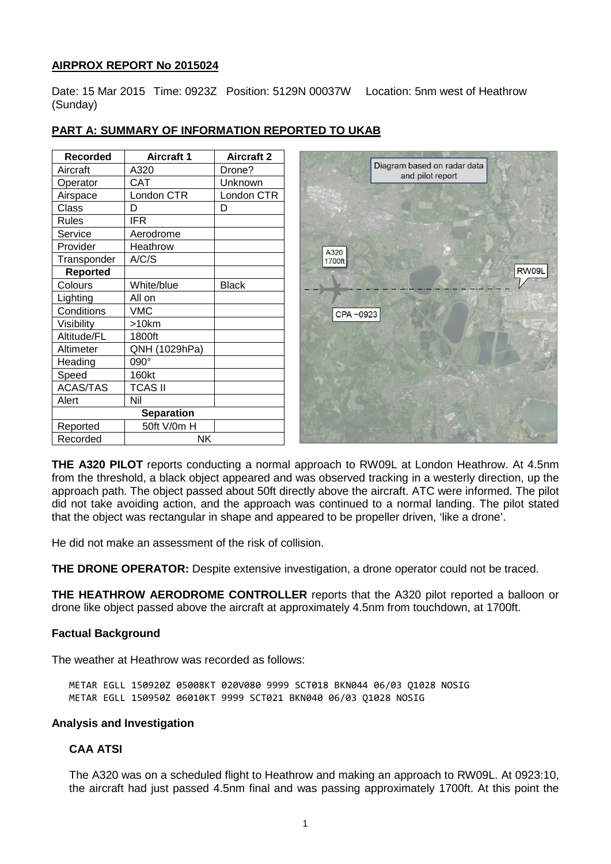# **AIRPROX REPORT No 2015024**

Date: 15 Mar 2015 Time: 0923Z Position: 5129N 00037W Location: 5nm west of Heathrow (Sunday)

| <b>Recorded</b> | <b>Aircraft 1</b> | <b>Aircraft 2</b> |          |                                                 |
|-----------------|-------------------|-------------------|----------|-------------------------------------------------|
| Aircraft        | A320              | Drone?            |          | Diagram based on radar data<br>and pilot report |
| Operator        | <b>CAT</b>        | Unknown           |          |                                                 |
| Airspace        | London CTR        | London CTR        |          |                                                 |
| Class           | D                 | D                 |          |                                                 |
| <b>Rules</b>    | <b>IFR</b>        |                   |          |                                                 |
| Service         | Aerodrome         |                   |          |                                                 |
| Provider        | Heathrow          |                   | A320     |                                                 |
| Transponder     | A/C/S             |                   | 1700ft   |                                                 |
| <b>Reported</b> |                   |                   |          |                                                 |
| Colours         | White/blue        | <b>Black</b>      |          |                                                 |
| Lighting        | All on            |                   |          |                                                 |
| Conditions      | <b>VMC</b>        |                   | CPA~0923 |                                                 |
| Visibility      | >10km             |                   |          |                                                 |
| Altitude/FL     | 1800ft            |                   |          |                                                 |
| Altimeter       | QNH (1029hPa)     |                   |          |                                                 |
| Heading         | 090°              |                   |          |                                                 |
| Speed           | 160kt             |                   |          |                                                 |
| <b>ACAS/TAS</b> | <b>TCAS II</b>    |                   |          |                                                 |
| Alert           | Nil               |                   |          |                                                 |
|                 | <b>Separation</b> |                   |          |                                                 |
| Reported        | 50ft V/0m H       |                   |          |                                                 |
| Recorded        | <b>NK</b>         |                   |          |                                                 |

# **PART A: SUMMARY OF INFORMATION REPORTED TO UKAB**

**THE A320 PILOT** reports conducting a normal approach to RW09L at London Heathrow. At 4.5nm from the threshold, a black object appeared and was observed tracking in a westerly direction, up the approach path. The object passed about 50ft directly above the aircraft. ATC were informed. The pilot did not take avoiding action, and the approach was continued to a normal landing. The pilot stated that the object was rectangular in shape and appeared to be propeller driven, 'like a drone'.

He did not make an assessment of the risk of collision.

**THE DRONE OPERATOR:** Despite extensive investigation, a drone operator could not be traced.

**THE HEATHROW AERODROME CONTROLLER** reports that the A320 pilot reported a balloon or drone like object passed above the aircraft at approximately 4.5nm from touchdown, at 1700ft.

# **Factual Background**

The weather at Heathrow was recorded as follows:

METAR EGLL 150920Z 05008KT 020V080 9999 SCT018 BKN044 06/03 Q1028 NOSIG METAR EGLL 150950Z 06010KT 9999 SCT021 BKN040 06/03 Q1028 NOSIG

# **Analysis and Investigation**

# **CAA ATSI**

The A320 was on a scheduled flight to Heathrow and making an approach to RW09L. At 0923:10, the aircraft had just passed 4.5nm final and was passing approximately 1700ft. At this point the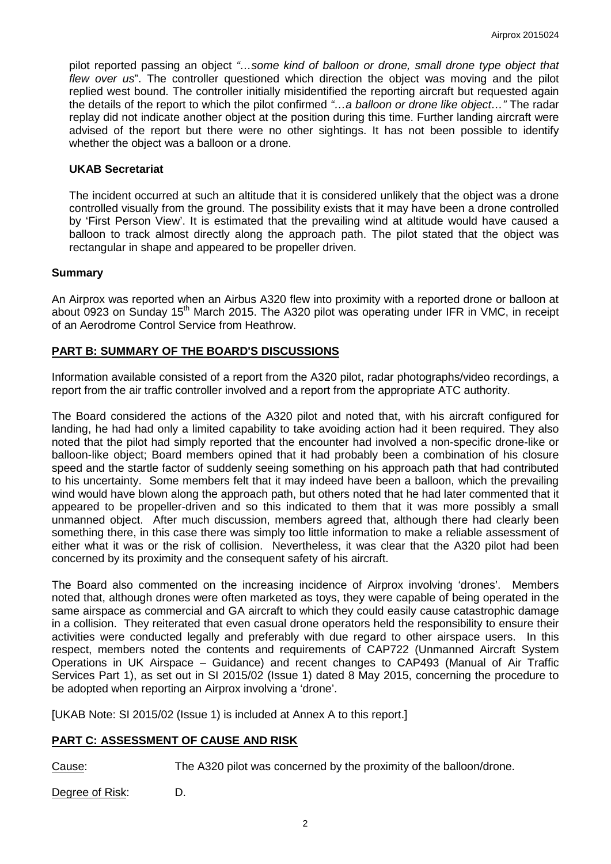pilot reported passing an object *"…some kind of balloon or drone, small drone type object that flew over us*". The controller questioned which direction the object was moving and the pilot replied west bound. The controller initially misidentified the reporting aircraft but requested again the details of the report to which the pilot confirmed *"…a balloon or drone like object…"* The radar replay did not indicate another object at the position during this time. Further landing aircraft were advised of the report but there were no other sightings. It has not been possible to identify whether the object was a balloon or a drone.

### **UKAB Secretariat**

The incident occurred at such an altitude that it is considered unlikely that the object was a drone controlled visually from the ground. The possibility exists that it may have been a drone controlled by 'First Person View'. It is estimated that the prevailing wind at altitude would have caused a balloon to track almost directly along the approach path. The pilot stated that the object was rectangular in shape and appeared to be propeller driven.

### **Summary**

An Airprox was reported when an Airbus A320 flew into proximity with a reported drone or balloon at about 0923 on Sunday 15<sup>th</sup> March 2015. The A320 pilot was operating under IFR in VMC, in receipt of an Aerodrome Control Service from Heathrow.

# **PART B: SUMMARY OF THE BOARD'S DISCUSSIONS**

Information available consisted of a report from the A320 pilot, radar photographs/video recordings, a report from the air traffic controller involved and a report from the appropriate ATC authority.

The Board considered the actions of the A320 pilot and noted that, with his aircraft configured for landing, he had had only a limited capability to take avoiding action had it been required. They also noted that the pilot had simply reported that the encounter had involved a non-specific drone-like or balloon-like object; Board members opined that it had probably been a combination of his closure speed and the startle factor of suddenly seeing something on his approach path that had contributed to his uncertainty. Some members felt that it may indeed have been a balloon, which the prevailing wind would have blown along the approach path, but others noted that he had later commented that it appeared to be propeller-driven and so this indicated to them that it was more possibly a small unmanned object. After much discussion, members agreed that, although there had clearly been something there, in this case there was simply too little information to make a reliable assessment of either what it was or the risk of collision. Nevertheless, it was clear that the A320 pilot had been concerned by its proximity and the consequent safety of his aircraft.

The Board also commented on the increasing incidence of Airprox involving 'drones'. Members noted that, although drones were often marketed as toys, they were capable of being operated in the same airspace as commercial and GA aircraft to which they could easily cause catastrophic damage in a collision. They reiterated that even casual drone operators held the responsibility to ensure their activities were conducted legally and preferably with due regard to other airspace users. In this respect, members noted the contents and requirements of CAP722 (Unmanned Aircraft System Operations in UK Airspace – Guidance) and recent changes to CAP493 (Manual of Air Traffic Services Part 1), as set out in SI 2015/02 (Issue 1) dated 8 May 2015, concerning the procedure to be adopted when reporting an Airprox involving a 'drone'.

[UKAB Note: SI 2015/02 (Issue 1) is included at Annex A to this report.]

# **PART C: ASSESSMENT OF CAUSE AND RISK**

Cause: The A320 pilot was concerned by the proximity of the balloon/drone.

Degree of Risk: D.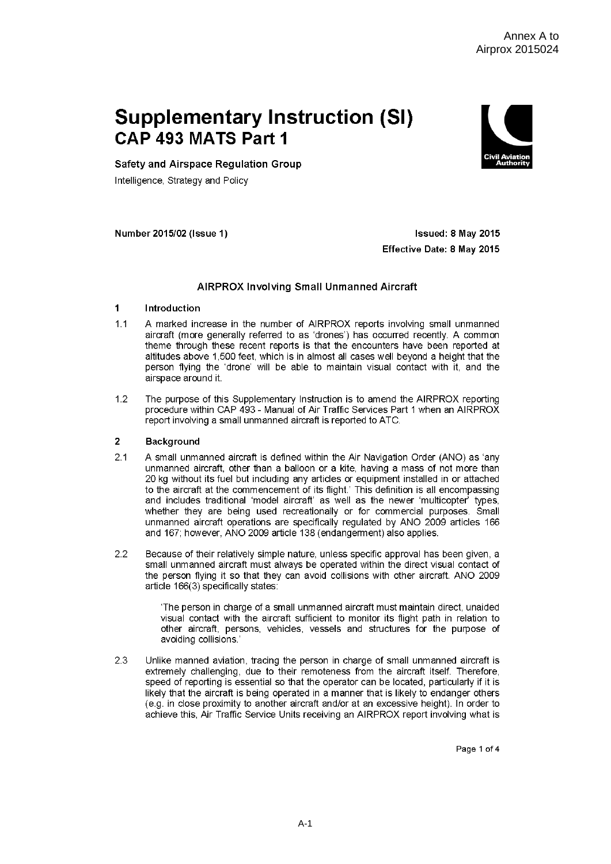# **Supplementary Instruction (SI)** CAP 493 MATS Part 1



Safety and Airspace Regulation Group

Intelligence, Strategy and Policy

Number 2015/02 (Issue 1)

Issued: 8 May 2015 Effective Date: 8 May 2015

### **AIRPROX Involving Small Unmanned Aircraft**

#### $\overline{1}$ Introduction

- $11$ A marked increase in the number of AIRPROX reports involving small unmanned aircraft (more generally referred to as 'drones') has occurred recently. A common theme through these recent reports is that the encounters have been reported at altitudes above 1,500 feet, which is in almost all cases well beyond a height that the person flying the 'drone' will be able to maintain visual contact with it, and the airspace around it.
- $1.2$ The purpose of this Supplementary Instruction is to amend the AIRPROX reporting procedure within CAP 493 - Manual of Air Traffic Services Part 1 when an AIRPROX report involving a small unmanned aircraft is reported to ATC.

#### $\overline{2}$ **Background**

- $2.1$ A small unmanned aircraft is defined within the Air Navigation Order (ANO) as 'any unmanned aircraft, other than a balloon or a kite, having a mass of not more than 20 kg without its fuel but including any articles or equipment installed in or attached to the aircraft at the commencement of its flight.' This definition is all encompassing and includes traditional 'model aircraft' as well as the newer 'multicopter' types, whether they are being used recreationally or for commercial purposes. Small unmanned aircraft operations are specifically regulated by ANO 2009 articles 166 and 167; however, ANO 2009 article 138 (endangerment) also applies.
- $2.2$ Because of their relatively simple nature, unless specific approval has been given, a small unmanned aircraft must always be operated within the direct visual contact of the person flying it so that they can avoid collisions with other aircraft. ANO 2009 article 166(3) specifically states:

'The person in charge of a small unmanned aircraft must maintain direct, unaided visual contact with the aircraft sufficient to monitor its flight path in relation to other aircraft, persons, vehicles, vessels and structures for the purpose of avoiding collisions.

23 Unlike manned aviation, tracing the person in charge of small unmanned aircraft is extremely challenging, due to their remoteness from the aircraft itself. Therefore, speed of reporting is essential so that the operator can be located, particularly if it is likely that the aircraft is being operated in a manner that is likely to endanger others (e.g. in close proximity to another aircraft and/or at an excessive height). In order to achieve this, Air Traffic Service Units receiving an AIRPROX report involving what is

Page 1 of 4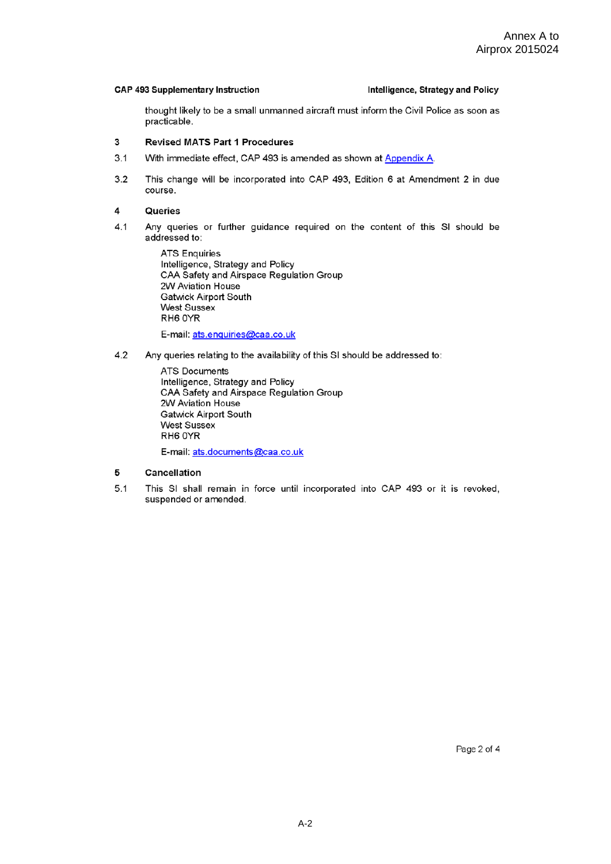### **CAP 493 Supplementary Instruction**

### Intelligence, Strategy and Policy

thought likely to be a small unmanned aircraft must inform the Civil Police as soon as practicable.

#### $\overline{\mathbf{3}}$ **Revised MATS Part 1 Procedures**

- $3.1$ With immediate effect, CAP 493 is amended as shown at Appendix A.
- $3.2$ This change will be incorporated into CAP 493, Edition 6 at Amendment 2 in due course.

#### $\overline{\mathbf{4}}$ Queries

 $4.1$ Any queries or further guidance required on the content of this SI should be addressed to:

> **ATS Enquiries** Intelligence, Strategy and Policy CAA Safety and Airspace Regulation Group 2W Aviation House **Gatwick Airport South West Sussex** RH6 0YR E-mail: ats.enquiries@caa.co.uk

 $4.2$ Any queries relating to the availability of this SI should be addressed to:

> **ATS Documents** Intelligence, Strategy and Policy CAA Safety and Airspace Regulation Group 2W Aviation House **Gatwick Airport South** West Sussex RH6 OYR

E-mail: ats.documents@caa.co.uk

#### 5 Cancellation

 $5.1$ This SI shall remain in force until incorporated into CAP 493 or it is revoked, suspended or amended.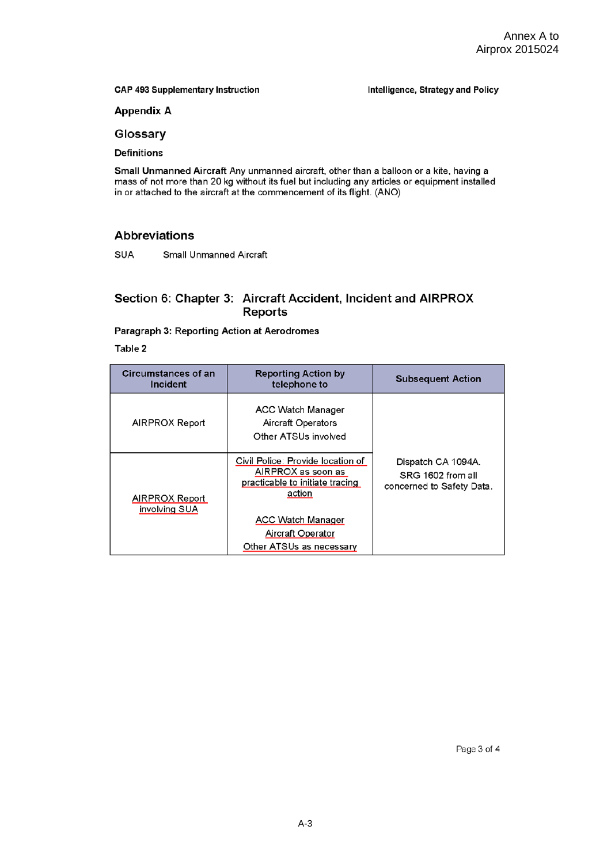**CAP 493 Supplementary Instruction** 

Intelligence, Strategy and Policy

**Appendix A** 

Glossary

**Definitions** 

Small Unmanned Aircraft Any unmanned aircraft, other than a balloon or a kite, having a mass of not more than 20 kg without its fuel but including any articles or equipment installed in or attached to the aircraft at the commencement of its flight. (ANO)

# **Abbreviations**

SUA Small Unmanned Aircraft

# Section 6: Chapter 3: Aircraft Accident, Incident and AIRPROX Reports

### Paragraph 3: Reporting Action at Aerodromes

Table 2

| Circumstances of an<br>Incident | <b>Reporting Action by</b><br>telephone to                                                                                                                                        | <b>Subsequent Action</b>                                             |
|---------------------------------|-----------------------------------------------------------------------------------------------------------------------------------------------------------------------------------|----------------------------------------------------------------------|
| AIRPROX Report                  | ACC Watch Manager<br>Aircraft Operators<br>Other ATSUs involved                                                                                                                   |                                                                      |
| AIRPROX Report<br>involving SUA | Civil Police: Provide location of<br>AIRPROX as soon as<br>practicable to initiate tracing<br>action<br><b>ACC Watch Manager</b><br>Aircraft Operator<br>Other ATSUs as necessary | Dispatch CA 1094A.<br>SRG 1602 from all<br>concerned to Safety Data. |

Page 3 of 4